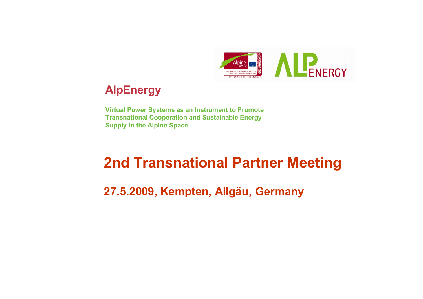

## **AlpEnergy**

**Virtual Power Systems as an Instrument to Promote Transnational Cooperation and Sustainable Energy Supply in the Alpine Space**

# **2nd Transnational Partner Meeting**

**27.5.2009, Kempten, Allgäu, Germany**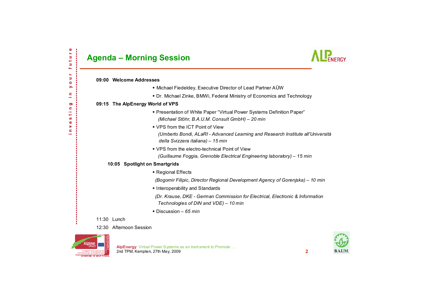|                         | <b>Agenda – Morning Session</b>                                                                                                                          |
|-------------------------|----------------------------------------------------------------------------------------------------------------------------------------------------------|
| 09:00 Welcome Addresses |                                                                                                                                                          |
|                         | • Michael Fiedeldey, Executive Director of Lead Partner AUW                                                                                              |
|                         | • Dr. Michael Zinke, BMWi, Federal Ministry of Economics and Technology                                                                                  |
|                         | 09:15 The AlpEnergy World of VPS                                                                                                                         |
|                         | * Presentation of White Paper "Virtual Power Systems Definition Paper"<br>(Michael Stöhr, B.A.U.M. Consult GmbH) - 20 min                                |
|                         | • VPS from the ICT Point of View<br>(Umberto Bondi, ALaRI - Advanced Learning and Research Institute all'Università<br>della Svizzera italiana) - 15 min |
|                         | • VPS from the electro-technical Point of View                                                                                                           |
|                         | (Guillaume Foggia, Grenoble Electrical Engineering laboratory) - 15 min                                                                                  |
|                         | 10:05 Spotlight on Smartgrids                                                                                                                            |
|                         | ◆ Regional Effects                                                                                                                                       |
|                         | (Bogomir Filipic, Director Regional Development Agency of Gorenjska) – 10 min                                                                            |
|                         | • Interoperability and Standards                                                                                                                         |
|                         | (Dr. Krause, DKE - German Commission for Electrical, Electronic & Information<br>Technologies of DIN and VDE) - 10 min                                   |
|                         | $\bullet$ Discussion - 65 min                                                                                                                            |
| 11:30 Lunch             |                                                                                                                                                          |
|                         |                                                                                                                                                          |

12:30 Afternoon Session

THIS PROJECT IS CO-FUNDED JIY **SEE A CONTACT DEVELOPMENT D.** naustinu in saar talase



| <b>BAIIM</b> |
|--------------|

#### **AlpEnergy** Virtual Power Systems as an Instrument to Promote … 2nd TPM, Kempten, 27th May, 2009 **2**